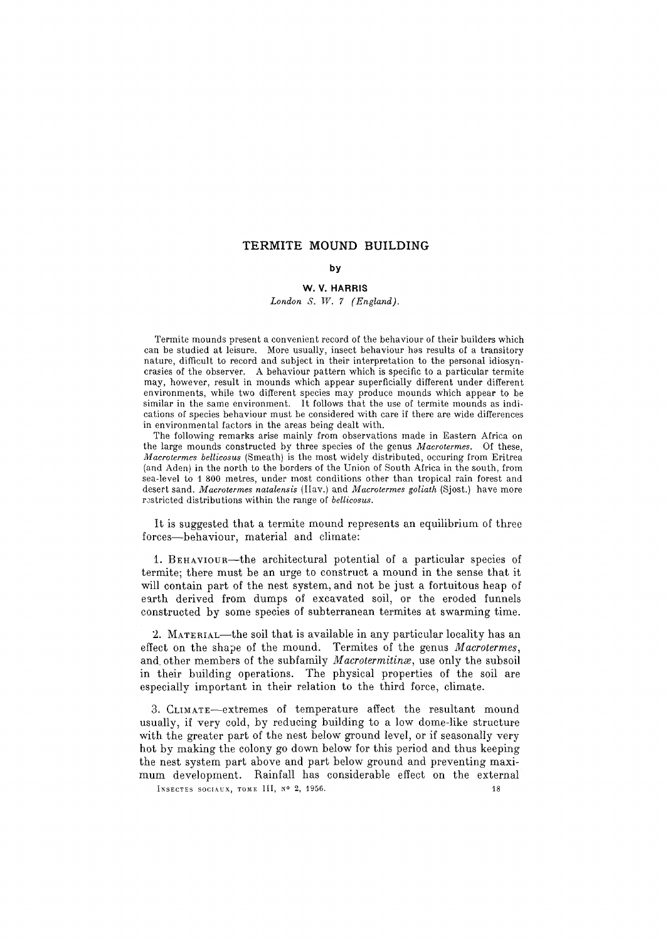# **TERMITE MOUND BUILDING**

# **by**

## **W. V. HARRIS**

*London S. W. 7 (England).* 

Termite mounds present a convenient record of the behaviour of their builders which can be studied at leisure. More usually, insect behaviour hes results of a transitory nature, difficult to record and subject in their interpretation to the personal idiosyncrasies of the observer. A behaviour pattern which is specific to a particular termite may, however, result in mounds which appear superficially different under different environments, while two different species may produce mounds which appear to be similar in the same environment. It follows that the use of termite mounds as indications of species behaviour must be considered with care if there are wide differences in environmental factors in the areas being dealt with.

The following remarks arise mainly from observations made in Eastern Africa on the large mounds constructed by three species of the genus *Macrotermes.* Of these, *Macrotermes bellicosus* (Smeath) is the most widely distributed, oceuring from Eritrea (and Aden) in the north to the borders of the Union of South Africa in the south, from sea-level to 1 800 metres, under most conditions other than tropical rain forest and desert sand. *Macrotermes natalensis* (Ilav.) and *Macrotermes goliath* (Sjost.) have more restricted distributions within the range of *bellicosus*.

It is suggested that a termite mound represents an equilibrium of three forces--behaviour, material and climate:

1. BEHAVIOUR--the architectural potential of a particular species of termite; there must be an urge to construct a mound in the sense that it will contain part of the nest system, and not be just a fortuitous heap of earth derived from dumps of excavated soil, or the eroded funnels constructed by some species of subterranean termites at swarming time.

2. MATERIAL-the soil that is available in any particular locality has an effect on the shape of the mound. Termites of the genus *Macrotermes,*  and other members of the subfamily *Macrotermitinx,* use only the subsoil in their building operations. The physical properties of the soil are especially important in their relation to the third force, climate.

3. CLiMATE--extremes of temperature affect the resultant mound usually, if very cold, by reducing building to a low dome-like structure with the greater part of the nest below ground level, or if seasonally very hot by making the colony go down below for this period and thus keeping the nest system part above and part below ground and preventing maximum development. Rainfall has considerable effect on the external INSECTES SOCIAUX, TOME III,  $N^o$  2, 1956.  $18$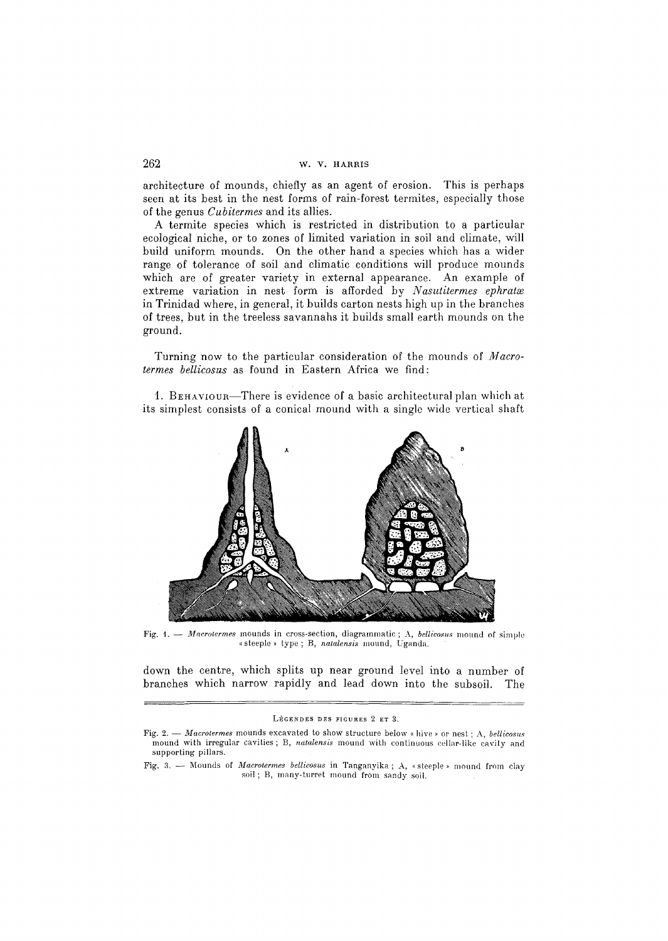## 262 w.v. HAaRIS

architecture of mounds, chiefly as an agent of erosion. This is perhaps seen at its best in the nest forms of rain-forest termites, especially those of the genus *Cubitermes* and its allies.

A termite species which is restricted in distribution to a particular ecological niche, or to zones of limited variation in soil and climate, will build uniform mounds. On the other hand a species which has a wider range of tolerance of soil and climatic conditions will produce mounds which are of greater variety in external appearance. An example of extreme variation in nest form is afforded by *Nasutitermes ephratas*  in Trinidad where, in general, it builds carton nests high up in the branches of trees, but in the treeless savannahs it builds small earth mounds on the ground.

Turning now to the particular consideration of the mounds of *Macrotermes bellicosus* as found in Eastern Africa we find:

1. BEHAVtOun--There is evidence of a basic architectural plan which at its simplest consists of a conical mound with a single wide vertical shaft



Fig. 1. -- *Macrotermes* mounds in cross-section, diagrammatic; A, *bellicosus* mound of simple ,~steeple ,, type; B, *natalensis* nmund, Uganda.

down the centre, which splits up near ground level into a number of branches which narrow rapidly and lead down into the subsoil. The

LÉGENDES DES FIGURES 2 ET 3.

Fig. 2. -- *Macrotermes* mounds excavated to show structure below « hive » or nest; A, *bellicosus* mound with irregular cavities; B, *natalensis* mound with continuous cellar-like cavity and supporting pillars.

Fig. 3. - Mounds of *Macrotermes bellicosus* in Tanganyika; A, «steeple » mound from clay soil; B, many-turret mound from sandy soil.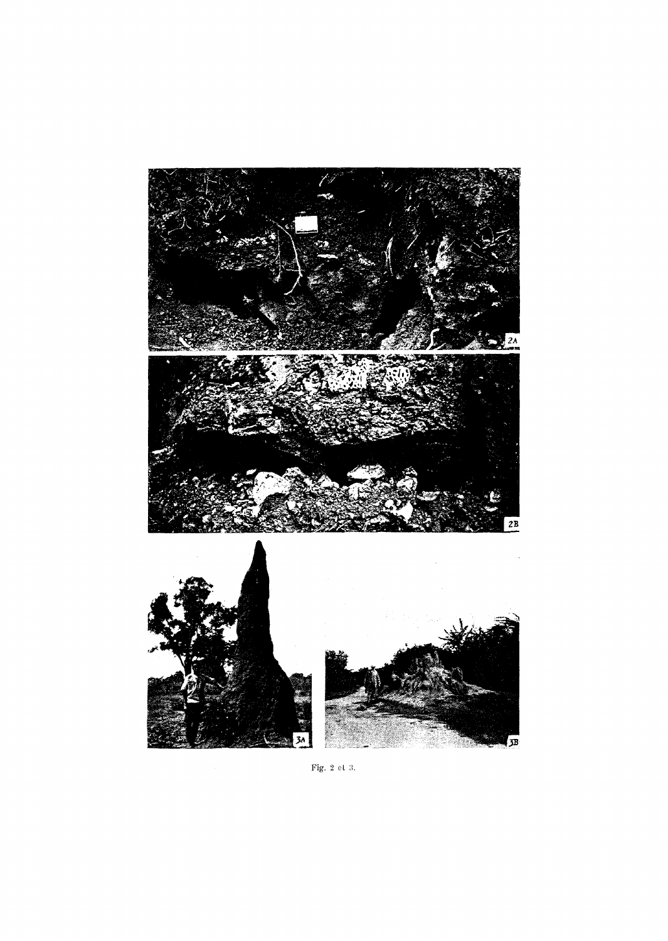

Fig. 2 et 3.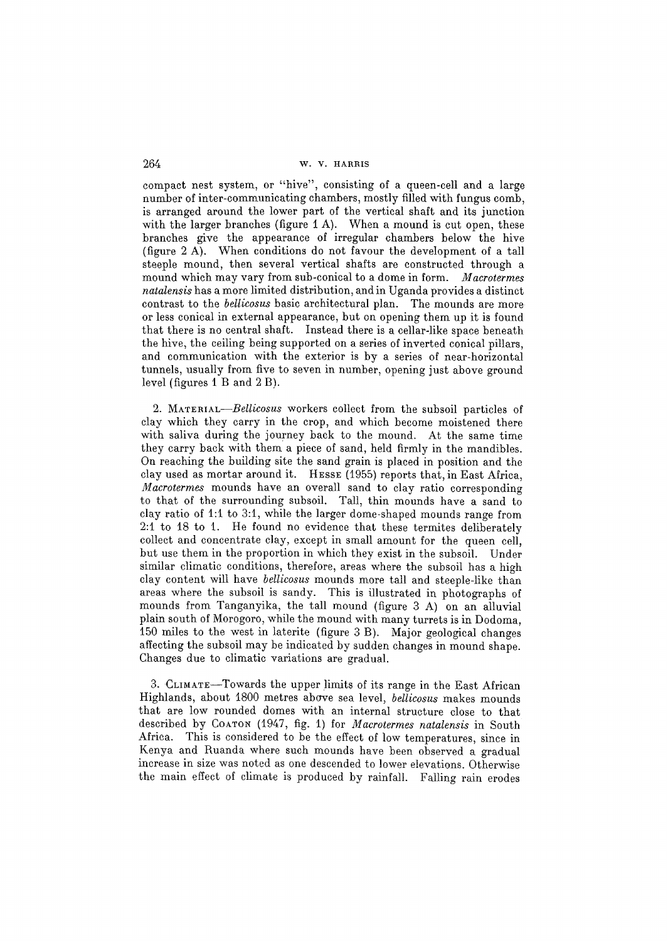compact nest system, or "hive", consisting of a queen-cell and a large number of inter-communicating chambers, mostly filled with fungus comb, is arranged around the lower part of the vertical shaft and its junction with the larger branches (figure  $1 \text{ A}$ ). When a mound is cut open, these branches give the appearance of irregular chambers below the hive (figure 2 A). When conditions do not favour the development of a tall steeple mound, then several vertical shafts are constructed through a mound which may vary from sub-conical to a dome in form. *Macrotermes natalensis* has a more limited distribution, and in Uganda provides a distinct contrast to the *belIicosus* basic architectural plan. The mounds are more or less conical in external appearance, but on opening them up it is found that there is no central shaft. Instead there is a cellar-like space beneath the hive, the ceiling being supported on a series of inverted conical pillars, and communication with the exterior is by a series of near-horizontal tunnels, usually from five to seven in number, opening just above ground level (figures I B and 2 B).

*2. MATERIAL--Bellicosus* workers collect from the subsoil particles of clay which they carry in the crop, and which become moistened there with saliva during the journey back to the mound. At the same time they carry back with them a piece of sand, held firmly in the mandibles. On reaching the building site the sand grain is placed in position and the clay used as mortar around it. HESSE (1955) reports that, in East Africa, *Macrotermes* mounds have an overall sand to clay ratio corresponding to that of the surrounding subsoil. Tall, thin mounds have a sand to clay ratio of 1:1 to 3:1, while the larger dome-shaped mounds range from  $2:1$  to 18 to 1. He found no evidence that these termites deliberately collect and concentrate clay, except in small amount for the queen cell, but use them in the proportion in which they exist in the subsoil. Under similar climatic conditions, therefore, areas where the subsoil has a high clay content will have *bellicosus* mounds more tall and steeple-like than areas where the subsoil is sandy. This is illustrated in photographs of mounds from Tanganyika, the tall mound (figure 3 A) on an alluvial plain south of Morogoro, while the mound with many turrets is in Dodoma, ~50 miles to the west in laterite (figure 3 B). Major geological changes affecting the subsoil may be indicated by sudden changes in mound shape. Changes due to climatic variations are gradual.

3. CLIMATE--Towards the upper limits of its range in the East African Highlands, about 1800 metres above sea level, *bellicosus* makes mounds that are low rounded domes with an internal structure close to that described by COATON (1947, fig. 1) for *Macrotermes natalensis* in South Africa. This is considered to be the effect of low temperatures, since in Kenya and Ruanda where such mounds have been observed a gradual increase in size was noted as one descended to lower elevations. Otherwise the main effect of climate is produced by rainfall. Falling rain erodes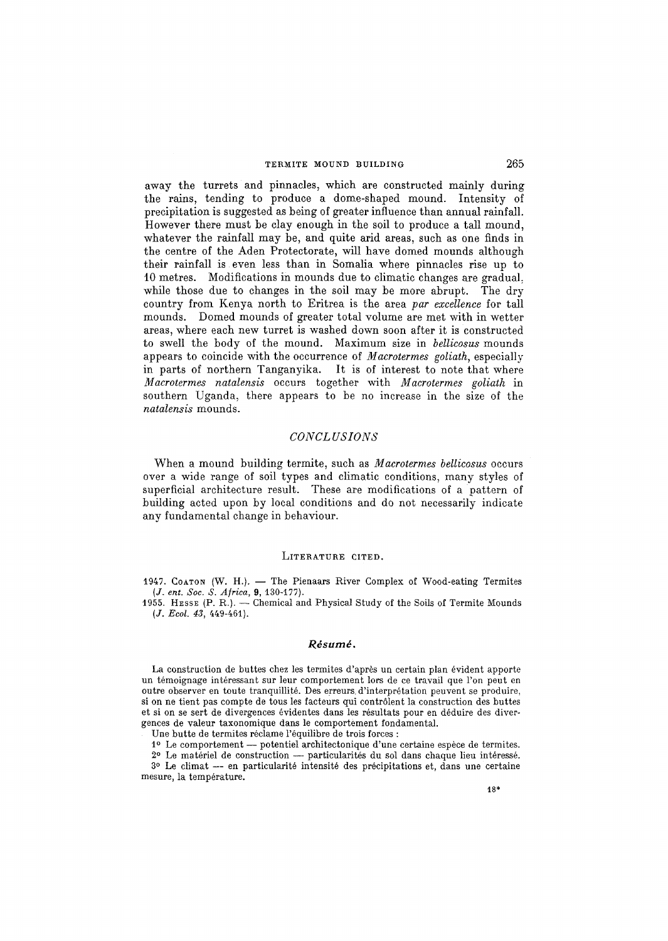## TERMITE MOUND BUILDING 265

away the turrets and pinnacles, which are constructed mainly during the rains, tending to produce a dome-shaped mound. Intensity of precipitation is suggested as being of greater influence than annual rainfall. However there must be clay enough in the soil to produce a tall mound, whatever the rainfall may be, and quite arid areas, such as one finds in the centre of the Aden Protectorate, will have domed mounds although their rainfall is even less than in Somalia where pinnacles rise up to 10 metres. Modifications in mounds due to climatic changes are gradual. while those due to changes in the soil may be more abrupt. The dry country from Kenya north to Eritrea is the area *par excellence* for tall mounds. Domed mounds of greater total volume are met with in wetter areas, where each new turret is washed down soon after it is constructed to swell the body of the mound. Maximum size in *bellicosus* mounds appears to coincide with the occurrence of *Macrotermes goliath,* especially in parts of northern Tanganyika. It is of interest to note that where *Macrotermes natalensis* occurs together with *Macrotermes goliath* in southern Uganda, there appears to be no increase in the size of the *natalensis* mounds.

### *CONCL USIONS*

When a mound building termite, such as *Macrotermes bellicosus* occurs over a wide range of soil types and climatic conditions, many styles of superficial architecture result. These are modifications of a pattern of building acted upon by local conditions and do not necessarily indicate any fundamental change in behaviour.

### LITERATURE CITED.

1947. COATON (W. H.). - The Pienaars River Complex of Wood-eating Termites *(J. ent. Soc. S. A/rica,* 9, 130-177).

1955. HEssE (P. R.). — Chemical and Physical Study of the Soils of Termite Mounds *(J. Ecol. 43, 449-461).* 

### $R$ ésumé.

La construction de buttes chez les termites d'après un certain plan évident apporte un témoignage intéressant sur leur comportement lors de ce travail que l'on peut en outre observer en toute tranquillité. Des erreurs d'interprétation peuvent se produire, si on ne tient pas compte de tousles facteurs qui contr61ent la construction des buttes et si on se sert de divergences évidentes dans les résultats pour en déduire des divergences de valeur taxonomique dans le comportement fondamental.

Une butte de termites réclame l'équilibre de trois forces :

1º Le comportement -- potentiel architectonique d'une certaine espèce de termites.

 $2<sup>o</sup>$  Le matériel de construction — particularités du sol dans chaque lieu intéressé.  $3°$  Le climat -- en particularité intensité des précipitations et, dans une certaine mesure, la température.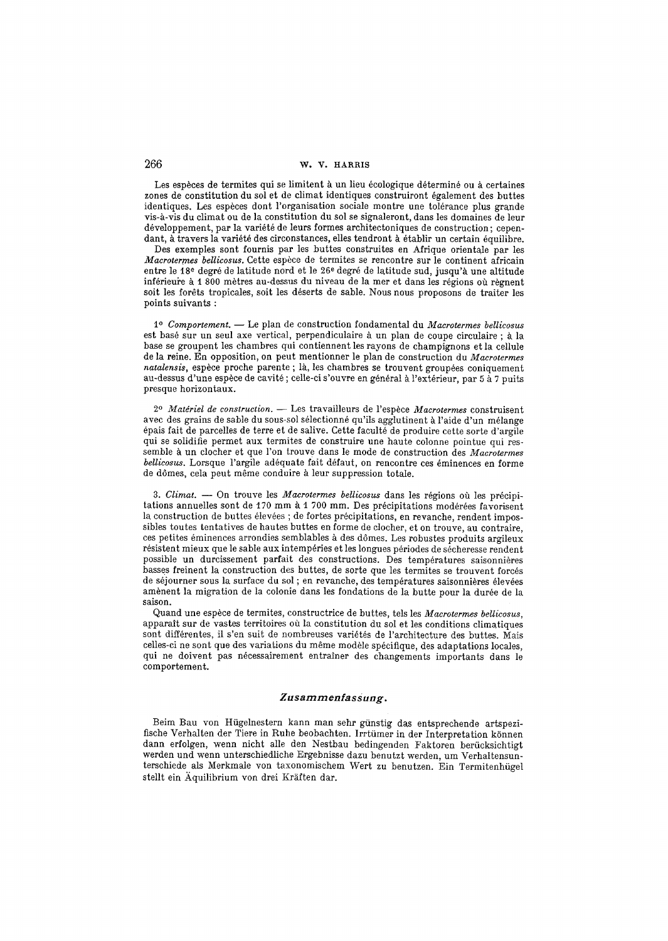Les espèces de termites qui se limitent à un lieu écologique déterminé ou à certaines zones de constitution du sol et de climat identiques construiront également des buttes identiques. Les espèces dont l'organisation sociale montre une tolérance plus grande vis-à-vis du climat ou de la constitution du sol se signaleront, dans les domaines de leur développement, par la variété de leurs formes architectoniques de construction; cependant, à travers la variété des circonstances, elles tendront à établir un certain équilibre.

Des exemples sont fournis par les buttes construites en Afrique orientale par les *Macrotermes bellicosus.* Cette espèce de termites se rencontre sur le continent africain entre le 18<sup>e</sup> degré de latitude nord et le 26<sup>e</sup> degré de latitude sud, jusqu'à une altitude inférieure à 1 800 mètres au-dessus du niveau de la mer et dans les régions où règnent soit les forêts tropicales, soit les déserts de sable. Nous nous proposons de traiter les points suivants :

*l o Comportement. --* Le plan de construction fondamenta] du *Macrotermes bellicosus*  est basé sur un seul axe vertical, perpendiculaire à un plan de coupe circulaire ; à la base se groupent les chambres qui contiennent les rayons de champignons et la cellule de la reine. En opposition, on peut mentionner le plan de construction du *Macrotermes natalensis*, espèce proche parente ; là, les chambres se trouvent groupées coniquement au-dessus d'une espèce de cavité ; celle-ci s'ouvre en général à l'extérieur, par 5 à 7 puits presque horizontaux.

2º *Matériel de construction.* — Les travailleurs de l'espèce *Macrotermes* construisent avec des grains de sable du sous-sol sélectionné qu'ils agglutinent à l'aide d'un mélange épais fait de parcelles de terre et de salive. Cette faculté de produire cette sorte d'argile qui se solidifie permet aux termites de construire une haute colonne pointue qui ressemble à un clocher et que l'on trouve dans le mode de construction des *Macrotermes bellicosus.* Lorsque l'argile adéquate fait défaut, on rencontre ces éminences en forme de dômes, cela peut même conduire à leur suppression totale.

3. Climat. -- On trouve les *Macrotermes bellicosus* dans les régions où les précipitations annuelles sont de 170 mm à 1700 mm. Des précipitations modérées favorisent la construction de buttes élevées ; de fortes précipitations, en revanche, rendent impossibles toutes tentatives de hautes buttes en forme de elocher, et on trouve, au contraire, ces petites éminences arrondies semblables à des dômes. Les robustes produits argileux résistent mieux que le sable aux intempéries et les longues périodes de sécheresse rendent possible un durcissement parfait des constructions. Des temperatures saisonnières basses freinent la construction des buttes, de sorte que les termites se trouvent forces de séjourner sous la surface du sol ; en revanche, des températures saisonnières élevées amènent la migration de la colonie dans les fondations de la butte pour la durée de la saison.

Quand une espèce de termites, constructrice de buttes, tels les *Macrotermes bellicosus*, apparaît sur de vastes territoires où la constitution du sol et les conditions climatiques sont différentes, il s'en suit de nombreuses variétés de l'architecture des buttes. Mais celles-ci ne sont que des variations du même modèle spécifique, des adaptations locales, qui ne doivent pas nécessairement entraîner des changements importants dans le comportement.

## *Zusarnrnenfassung.*

Beim Bau yon Hiigelnestern kann man sehr giinstig das entsprechende artspezifische Verhalten der Tiere in Ruhe beobachten. Irrtümer in der Interpretation können dann erfolgen, wenn nicht alle den Nestbau bedingenden Faktoren berücksichtigt werden und wenn unterschiedliche Ergebnisse dazu benutzt werden, um Verhaltensunterschiede als Merkmale yon taxonomischem Wert zu benutzen. Ein Termitenhiigel stellt ein Äquilibrium von drei Kräften dar.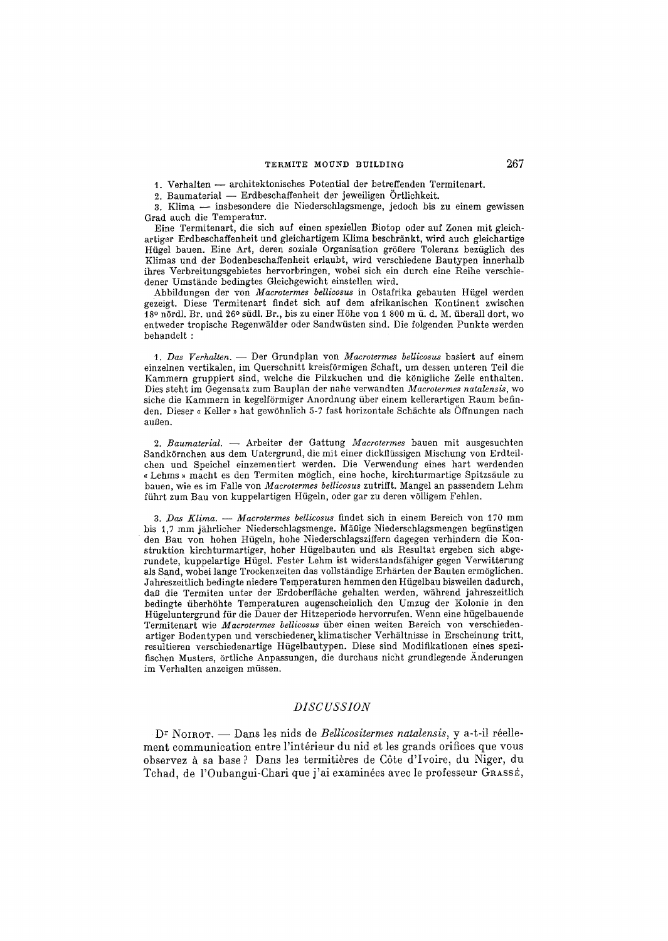### TERMITE MOUND BUILDING 267

1. Verhalten -- architektonisches Potential der betreffenden Termitenart.

2. Baumaterial -- Erdbeschaffenheit der jeweiligen Örtlichkeit.

3. Klima -- insbesondere die Niederschlagsmenge, jedoch bis zu einem gewissen Grad auch die Temperatur.

Eine Termitenart, die sich auf einen speziellen Biotop oder auf Zonen mit gleichartiger Erdbeschaffenheit und gleichartigem Klima beschränkt, wird auch gleichartige Hügel bauen. Eine Art, deren soziale Organisation größere Toleranz bezüglich des Klimas und der Bodenbeschaffenheit erlaubt, wird verschiedene Bautypen innerhalb ihres Verbreitungsgebietes hervorbringen, wobei sich ein durch eine Reihe verschiedener Umstande bedingtes Gleichgewicht einstellen wird.

Abbildungen der von *Macrotermes bellicosus* in Ostafrika gebauten Hügel werden gezeigt. Diese Termitenart finder sich auf dem afrikanischen Kontinent zwischen  $\tilde{1}$ 8º n $\tilde{0}$ rdl. Br. und 26º südl. Br., bis zu einer Höhe von 1 800 m ü. d. M. überall dort, wo entweder tropische Regenwälder oder Sandwüsten sind. Die folgenden Punkte werden behandelt :

*t. Das Verhalten. --* Der Grundplan yon *Macrotermes beUicosus* basiert auf einem einzelnen vertikalen, im Querschnitt kreisf6rmigen Schaft, um dessen unteren Teil die Kammern gruppiert sind, welche die Pilzkuchen und die königliche Zelle enthalten. Dies steht im Gegensatz zum Bauplan der nahe verwandten *Macrotermes natalensis,* wo siche die Kammern in kegelförmiger Anordnung über einem kellerartigen Raum befinden. Dieser « Keller » hat gewöhnlich 5-7 fast horizontale Schächte als Öffnungen nach außen.

*2. Baumaterial. --* Arbeiter der Gattung *Macrotermes* bauen mit ausgesuchten Sandkörnchen aus dem Untergrund, die mit einer dickflüssigen Mischung von Erdteilchen und Speichel einzementiert werden. Die Verwendung eines hart werdenden « Lehms » macht es den Termiten möglich, eine hoche, kirchturmartige Spitzsäule zu bauen, wie es im Falle yon *Macrotermes bellicosus* zutrifft. Mangel an passendem Lehm führt zum Bau von kuppelartigen Hügeln, oder gar zu deren völligem Fehlen.

*3. JOas Klima. -- Macrotermes bellicosus* findet sich in einem Bereich yon 170 mm bis 1,7 mm jährlicher Niederschlagsmenge. Mäßige Niederschlagsmengen begünstigen den Bau yon hohen Hfigeln, hohe Niederschlagsziffern dagegen verhindern die Konstruktion kirchturmartiger, hoher Hügelbauten und als Resultat ergeben sich abgerundete, kuppelartige Hügel. Fester Lehm ist widerstandsfähiger gegen Verwitterung als Sand, wobei lange Trockenzeiten das vollständige Erhärten der Bauten ermöglichen. Jahreszeitlich bedingte niedere Temperaturen hemmen den Hügelbau bisweilen dadurch, daß die Termiten unter der Erdoberfläche gehalten werden, während jahreszeitlich bedingte fiberh6hte Temperaturen augenseheinlich den Umzug der Kolonie in den Hfigeluntergrund ffir die Dauer der Hitzeperiode hervorrufen. Wenn eine hfigelbauende Termitenart wie *Macrotermes bellicosus* über einen weiten Bereich von verschiedenartiger Bodentypen und verschiedener, klimatischer Verhältnisse in Erscheinung tritt, resultieren verschiedenartige Hfigelbautypen. Diese sind Modifikationen eines spezifischen Musters, 6rtliche Anpassungen, die durchaus nicht grundlegende Anderungen im Verhalten anzeigen müssen.

## *DISC USSION*

D<sup>r</sup> NOIROT. -- Dans les nids de *Bellicositermes natalensis*, y a-t-il réellement communication entre l'intérieur du nid et les grands orifices que vous observez à sa base ? Dans les termitières de Côte d'Ivoire, du Niger, du Tchad, de l'Oubangui-Chari que j'ai examinées avec le professeur Grassé,